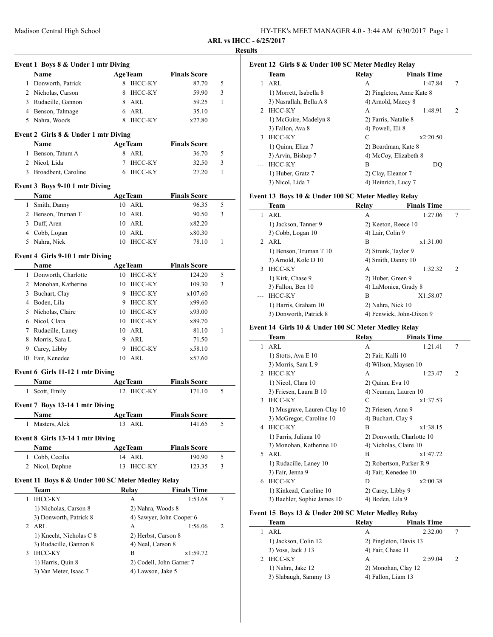**Event 1 Boys 8 & Under 1 mtr Diving**

**Event 2 Girls 8 & Under 1 mtr Diving**

| HY-TEK's MEET MANAGER 4.0 - 3:44 AM 6/30/2017 Page 1 |  |  |
|------------------------------------------------------|--|--|
|------------------------------------------------------|--|--|

**ARL vs IHCC - 6/25/2017**

#### **Results**

 $\overline{\phantom{0}}$ 

 $\overline{\phantom{0}}$ 

 $\overline{\phantom{a}}$ 

## **Event 12 Girls 8 & Under 100 SC Meter Medley Relay**

| Name                               | <b>AgeTeam</b> | <b>Finals Score</b> |   | Team                    | Relay                |
|------------------------------------|----------------|---------------------|---|-------------------------|----------------------|
| 1 Donworth, Patrick                | 8 IHCC-KY      | 87.70               | 5 | l ARL                   | A                    |
| 2 Nicholas, Carson                 | 8 IHCC-KY      | 59.90               |   | 1) Morrett, Isabella 8  | 2) Pingleton, A      |
| 3 Rudacille, Gannon                | 8 ARL          | 59.25               |   | 3) Nasrallah, Bella A 8 | 4) Arnold, Mae       |
| 4 Benson, Talmage                  | 6 ARL          | 35.10               |   | 2 IHCC-KY               | А                    |
| 5 Nahra, Woods                     | 8 IHCC-KY      | x27.80              |   | 1) McGuire, Madelyn 8   | 2) Farris, Natal     |
|                                    |                |                     |   | 3) Fallon, Ava 8        | 4) Powell, Eli 8     |
| ent 2 Girls 8 & Under 1 mtr Diving |                |                     |   | 3 IHCC-KY               |                      |
| <b>Name</b>                        | <b>AgeTeam</b> | <b>Finals Score</b> |   | 1) Quinn, Eliza 7       | 2) Boardman, K       |
| 1 Benson, Tatum A                  | 8 ARL          | 36.70               |   | $2)$ Arvin Bichon $7$   | $\Lambda$ McCoy Fliz |

# 3 Broadbent, Caroline 6 IHCC-KY 27.20 1

# **Event 3 Boys 9-10 1 mtr Diving**

| Name               |     | <b>AgeTeam</b> | <b>Finals Score</b> |   |
|--------------------|-----|----------------|---------------------|---|
| 1 Smith, Danny     |     | 10 ARL         | 96.35               |   |
| 2 Benson, Truman T |     | 10 ARL         | 90.50               | 3 |
| 3 Duff, Aren       |     | 10 ARL         | x82.20              |   |
| 4 Cobb, Logan      |     | $10$ ARL       | x80.30              |   |
| 5 Nahra, Nick      | 10. | IHCC-KY        | 78.10               |   |

2 Nicol, Lida 7 IHCC-KY 32.50 3

### **Event 4 Girls 9-10 1 mtr Diving**

|   | Name                  |    | <b>AgeTeam</b> | <b>Finals Score</b> |   |  |
|---|-----------------------|----|----------------|---------------------|---|--|
|   | 1 Donworth, Charlotte | 10 | <b>IHCC-KY</b> | 124.20              | 5 |  |
|   | 2 Monohan, Katherine  | 10 | <b>IHCC-KY</b> | 109.30              | 3 |  |
| 3 | Buchart, Clay         | 9  | <b>IHCC-KY</b> | x107.60             |   |  |
| 4 | Boden, Lila           | 9  | <b>IHCC-KY</b> | x99.60              |   |  |
|   | 5 Nicholas, Claire    | 10 | <b>IHCC-KY</b> | x93.00              |   |  |
| 6 | Nicol, Clara          | 10 | <b>IHCC-KY</b> | x89.70              |   |  |
| 7 | Rudacille, Laney      |    | 10 ARL         | 81.10               |   |  |
| 8 | Morris, Sara L        | 9  | ARL            | 71.50               |   |  |
| 9 | Carey, Libby          | 9  | <b>IHCC-KY</b> | x58.10              |   |  |
|   | Fair, Kenedee         | 10 | ARL            | x57.60              |   |  |

#### **Event 6 Girls 11-12 1 mtr Diving**

| Name                             | <b>AgeTeam</b> | <b>Finals Score</b> |   |
|----------------------------------|----------------|---------------------|---|
| Scott, Emily<br>1.               | 12 IHCC-KY     | 171.10              | 5 |
| Event 7 Boys 13-14 1 mtr Diving  |                |                     |   |
| <b>Name</b>                      | <b>AgeTeam</b> | <b>Finals Score</b> |   |
| Masters, Alek<br>1.              | $13$ ARL       | 141.65              | 5 |
| Event 8 Girls 13-14 1 mtr Diving |                |                     |   |

| <b>Name</b>     | <b>AgeTeam</b> | <b>Finals Score</b> |  |
|-----------------|----------------|---------------------|--|
| 1 Cobb, Cecilia | 14 ARL         | 190.90              |  |
| 2 Nicol, Daphne | 13 IHCC-KY     | 123.35              |  |

### **Event 11 Boys 8 & Under 100 SC Meter Medley Relay**

| Team                    | Relay               | <b>Finals Time</b>       |   |
|-------------------------|---------------------|--------------------------|---|
| <b>IHCC-KY</b>          | A                   | 1:53.68                  |   |
| 1) Nicholas, Carson 8   | 2) Nahra, Woods 8   |                          |   |
| 3) Donworth, Patrick 8  |                     | 4) Sawyer, John Cooper 6 |   |
| ARL                     | A                   | 1:56.06                  | 2 |
| 1) Knecht, Nicholas C 8 | 2) Herbst, Carson 8 |                          |   |
| 3) Rudacille, Gannon 8  | 4) Neal, Carson 8   |                          |   |
| <b>IHCC-KY</b>          | в                   | x1:59.72                 |   |
| 1) Harris, Quin 8       |                     | 2) Codell, John Garner 7 |   |
| 3) Van Meter, Isaac 7   | 4) Lawson, Jake 5   |                          |   |
|                         |                     |                          |   |

|               | Team                    | Relay                | <b>Finals Time</b>        |   |
|---------------|-------------------------|----------------------|---------------------------|---|
| 1             | ARL                     | А                    | 1:47.84                   | 7 |
|               | 1) Morrett, Isabella 8  |                      | 2) Pingleton, Anne Kate 8 |   |
|               | 3) Nasrallah, Bella A 8 | 4) Arnold, Maecy 8   |                           |   |
| $\mathcal{D}$ | IHCC-KY                 | А                    | 1:48.91                   | 2 |
|               | 1) McGuire, Madelyn 8   | 2) Farris, Natalie 8 |                           |   |
|               | 3) Fallon, Ava 8        | 4) Powell, Eli 8     |                           |   |
| $\mathcal{F}$ | <b>IHCC-KY</b>          | C                    | x2:20.50                  |   |
|               | 1) Quinn, Eliza 7       |                      | 2) Boardman, Kate 8       |   |
|               | 3) Arvin, Bishop 7      |                      | 4) McCoy, Elizabeth 8     |   |
|               | <b>IHCC-KY</b>          | В                    | DO                        |   |
|               | 1) Huber, Gratz 7       | 2) Clay, Eleanor 7   |                           |   |
|               | 3) Nicol, Lida 7        | 4) Heinrich, Lucy 7  |                           |   |

### **Event 13 Boys 10 & Under 100 SC Meter Medley Relay**

|    | <b>Team</b>            | Relav                    | <b>Finals Time</b> |   |
|----|------------------------|--------------------------|--------------------|---|
| 1. | ARL                    | A                        | 1:27.06            | 7 |
|    | 1) Jackson, Tanner 9   | 2) Keeton, Reece 10      |                    |   |
|    | 3) Cobb, Logan 10      | 4) Lair, Colin 9         |                    |   |
|    | $2$ ARL                | B                        | x1:31.00           |   |
|    | 1) Benson, Truman T 10 | 2) Strunk, Taylor 9      |                    |   |
|    | 3) Arnold, Kole D 10   | 4) Smith, Danny 10       |                    |   |
| 3  | <b>IHCC-KY</b>         | A                        | 1:32.32            | 2 |
|    | 1) Kirk, Chase 9       | 2) Huber, Green 9        |                    |   |
|    | 3) Fallon, Ben 10      | 4) LaMonica, Grady 8     |                    |   |
|    | <b>IHCC-KY</b>         | B                        | X1:58.07           |   |
|    | 1) Harris, Graham 10   | 2) Nahra, Nick 10        |                    |   |
|    | 3) Donworth, Patrick 8 | 4) Fenwick, John-Dixon 9 |                    |   |

### **Event 14 Girls 10 & Under 100 SC Meter Medley Relay**

|                | Team                        | Relay              | <b>Finals Time</b>        |                |
|----------------|-----------------------------|--------------------|---------------------------|----------------|
| 1              | ARL                         | А                  | 1:21.41                   | 7              |
|                | 1) Stotts, Ava E 10         | 2) Fair, Kalli 10  |                           |                |
|                | 3) Morris, Sara L 9         |                    | 4) Wilson, Maysen 10      |                |
| $\mathfrak{D}$ | <b>IHCC-KY</b>              | A                  | 1:23.47                   | $\overline{c}$ |
|                | 1) Nicol, Clara 10          | 2) Quinn, Eva 10   |                           |                |
|                | 3) Friesen, Laura B 10      |                    | 4) Neuman, Lauren 10      |                |
| $\mathbf{3}$   | <b>IHCC-KY</b>              | C                  | x1:37.53                  |                |
|                | 1) Musgrave, Lauren-Clay 10 | 2) Friesen, Anna 9 |                           |                |
|                | 3) McGregor, Caroline 10    | 4) Buchart, Clay 9 |                           |                |
| 4              | <b>IHCC-KY</b>              | B                  | x1:38.15                  |                |
|                | 1) Farris, Juliana 10       |                    | 2) Donworth, Charlotte 10 |                |
|                | 3) Monohan, Katherine 10    |                    | 4) Nicholas, Claire 10    |                |
| 5.             | ARL                         | B                  | x1:47.72                  |                |
|                | 1) Rudacille, Laney 10      |                    | 2) Robertson, Parker R 9  |                |
|                | 3) Fair, Jenna 9            |                    | 4) Fair, Kenedee 10       |                |
| 6              | <b>IHCC-KY</b>              | D                  | x2:00.38                  |                |
|                | 1) Kinkead, Caroline 10     | 2) Carey, Libby 9  |                           |                |
|                | 3) Baehler, Sophie James 10 | 4) Boden, Lila 9   |                           |                |

# **Event 15 Boys 13 & Under 200 SC Meter Medley Relay**

| Team                  | Relay              | <b>Finals Time</b>     |               |
|-----------------------|--------------------|------------------------|---------------|
| ARL                   | А                  | 2:32.00                |               |
| 1) Jackson, Colin 12  |                    | 2) Pingleton, Davis 13 |               |
| 3) Voss, Jack J 13    | 4) Fair, Chase 11  |                        |               |
| <b>IHCC-KY</b>        | А                  | 2:59.04                | $\mathcal{D}$ |
| 1) Nahra, Jake 12     |                    | 2) Monohan, Clay 12    |               |
| 3) Slabaugh, Sammy 13 | 4) Fallon, Liam 13 |                        |               |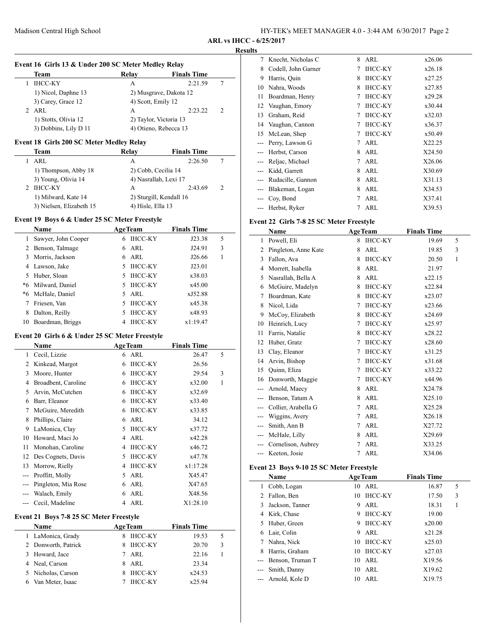**ARL vs IHCC - 6/25/2017**

#### **Results**

 $\overline{\phantom{a}}$ 

| Event 16 Girls 13 & Under 200 SC Meter Medley Relay |  |
|-----------------------------------------------------|--|
|-----------------------------------------------------|--|

| Team                  | Relay              | <b>Finals Time</b>     |               |
|-----------------------|--------------------|------------------------|---------------|
| <b>IHCC-KY</b>        | А                  | 2:21.59                |               |
| 1) Nicol, Daphne 13   |                    | 2) Musgrave, Dakota 12 |               |
| 3) Carey, Grace 12    | 4) Scott, Emily 12 |                        |               |
| 2 ARL                 | А                  | 2:23.22                | $\mathcal{P}$ |
| 1) Stotts, Olivia 12  |                    | 2) Taylor, Victoria 13 |               |
| 3) Dobbins, Lily D 11 |                    | 4) Otieno, Rebecca 13  |               |

### **Event 18 Girls 200 SC Meter Medley Relay**

| Team                     | Relay             | <b>Finals Time</b>      |               |
|--------------------------|-------------------|-------------------------|---------------|
| ARL                      | А                 | 2:26.50                 |               |
| 1) Thompson, Abby 18     |                   | 2) Cobb, Cecilia 14     |               |
| 3) Young, Olivia 14      |                   | 4) Nasrallah, Lexi 17   |               |
| <b>IHCC-KY</b>           | А                 | 2:43.69                 | $\mathcal{P}$ |
| 1) Milward, Kate 14      |                   | 2) Sturgill, Kendall 16 |               |
| 3) Nielsen, Elizabeth 15 | 4) Hisle, Ella 13 |                         |               |

# **Event 19 Boys 6 & Under 25 SC Meter Freestyle**

| <b>Name</b> |                     | <b>AgeTeam</b>       | <b>Finals Time</b> |   |
|-------------|---------------------|----------------------|--------------------|---|
| 1.          | Sawyer, John Cooper | <b>IHCC-KY</b><br>6  | J23.38             | 5 |
|             | 2 Benson, Talmage   | 6 ARL                | J24.91             | 3 |
|             | 3 Morris, Jackson   | ARL<br>6.            | J26.66             |   |
|             | 4 Lawson, Jake      | <b>IHCC-KY</b>       | J23.01             |   |
|             | 5 Huber, Sloan      | <b>IHCC-KY</b><br>5. | x38.03             |   |
|             | *6 Milward, Daniel  | <b>IHCC-KY</b>       | x45.00             |   |
|             | *6 McHale, Daniel   | ARL<br>5.            | xJ52.88            |   |
|             | Friesen, Van        | <b>IHCC-KY</b>       | x45.38             |   |
| 8           | Dalton, Reilly      | <b>IHCC-KY</b>       | x48.93             |   |
| 10          | Boardman, Briggs    | <b>IHCC-KY</b>       | x1:19.47           |   |

# **Event 20 Girls 6 & Under 25 SC Meter Freestyle**

|     | Name                | <b>AgeTeam</b>      | <b>Finals Time</b> |   |
|-----|---------------------|---------------------|--------------------|---|
| 1   | Cecil, Lizzie       | ARL<br>6            | 26.47              | 5 |
| 2   | Kinkead, Margot     | <b>IHCC-KY</b><br>6 | 26.56              |   |
| 3   | Moore, Hunter       | <b>IHCC-KY</b><br>6 | 29.54              | 3 |
| 4   | Broadbent, Caroline | <b>IHCC-KY</b><br>6 | x32.00             | 1 |
| 5   | Arvin, McCutchen    | <b>IHCC-KY</b><br>6 | x32.69             |   |
| 6   | Barr, Eleanor       | IHCC-KY<br>6        | x33.40             |   |
| 7   | McGuire, Meredith   | <b>IHCC-KY</b><br>6 | x33.85             |   |
| 8   | Phillips, Claire    | ARL<br>6            | 34.12              |   |
| 9   | LaMonica, Clay      | <b>IHCC-KY</b><br>5 | x37.72             |   |
| 10  | Howard, Maci Jo     | ARL<br>4            | x42.28             |   |
| 11  | Monohan, Caroline   | IHCC-KY<br>4        | x46.72             |   |
| 12  | Des Cognets, Davis  | <b>IHCC-KY</b><br>5 | x47.78             |   |
| 13  | Morrow, Rielly      | <b>IHCC-KY</b><br>4 | x1:17.28           |   |
| --- | Proffitt, Molly     | ARL<br>5.           | X45.47             |   |
|     | Pingleton, Mia Rose | ARL<br>6            | X47.65             |   |
|     | Walach, Emily       | ARL<br>6            | X48.56             |   |
|     | Cecil, Madeline     | ARL<br>4            | X1:28.10           |   |

| <b>Name</b>         | <b>AgeTeam</b>      | <b>Finals Time</b> |   |
|---------------------|---------------------|--------------------|---|
| 1 LaMonica, Grady   | <b>IHCC-KY</b><br>8 | 19.53              | 5 |
| 2 Donworth, Patrick | <b>IHCC-KY</b><br>8 | 20.70              | 3 |
| 3 Howard, Jace      | ARL                 | 22.16              |   |
| 4 Neal, Carson      | ARL<br>8            | 23.34              |   |
| 5 Nicholas, Carson  | <b>IHCC-KY</b>      | x24.53             |   |
| Van Meter. Isaac    | <b>IHCC-KY</b>      | x25.94             |   |
|                     |                     |                    |   |

| 7                   | Knecht, Nicholas C  | 8 | ARL            | x26.06 |
|---------------------|---------------------|---|----------------|--------|
| 8                   | Codell, John Garner | 7 | <b>IHCC-KY</b> | x26.18 |
| 9                   | Harris, Quin        | 8 | <b>IHCC-KY</b> | x27.25 |
| 10                  | Nahra, Woods        | 8 | <b>IHCC-KY</b> | x27.85 |
| 11                  | Boardman, Henry     | 7 | <b>IHCC-KY</b> | x29.28 |
| 12                  | Vaughan, Emory      | 7 | <b>IHCC-KY</b> | x30.44 |
| 13                  | Graham, Reid        | 7 | <b>IHCC-KY</b> | x32.03 |
| 14                  | Vaughan, Cannon     | 7 | <b>IHCC-KY</b> | x36.37 |
| 15                  | McLean, Shep        | 7 | <b>IHCC-KY</b> | x50.49 |
|                     | Perry, Lawson G     | 7 | ARL            | X22.25 |
|                     | Herbst, Carson      | 8 | ARL            | X24.50 |
| $\qquad \qquad - -$ | Reljac, Michael     | 7 | ARL            | X26.06 |
| $---$               | Kidd, Garrett       | 8 | ARL            | X30.69 |
| $---$               | Rudacille, Gannon   | 8 | ARL            | X31.13 |
|                     | Blakeman, Logan     | 8 | ARL            | X34.53 |
|                     | Coy, Bond           | 7 | ARL            | X37.41 |
|                     | Herbst, Ryker       | 7 | ARL            | X39.53 |

# **Event 22 Girls 7-8 25 SC Meter Freestyle**

|       | Name                 | <b>AgeTeam</b> |                | <b>Finals Time</b> |   |
|-------|----------------------|----------------|----------------|--------------------|---|
| 1     | Powell, Eli          | 8              | <b>IHCC-KY</b> | 19.69              | 5 |
| 2     | Pingleton, Anne Kate | 8              | ARL            | 19.85              | 3 |
| 3     | Fallon, Ava          | 8              | <b>IHCC-KY</b> | 20.50              | 1 |
| 4     | Morrett, Isabella    | 8              | <b>ARL</b>     | 21.97              |   |
| 5     | Nasrallah, Bella A   | 8              | ARL            | x22.15             |   |
| 6     | McGuire, Madelyn     | 8              | IHCC-KY        | x22.84             |   |
| 7     | Boardman, Kate       | 8              | <b>IHCC-KY</b> | x23.07             |   |
| 8     | Nicol, Lida          | 7              | <b>IHCC-KY</b> | x23.66             |   |
| 9     | McCoy, Elizabeth     | 8              | <b>IHCC-KY</b> | x24.69             |   |
| 10    | Heinrich, Lucy       | 7              | <b>IHCC-KY</b> | x25.97             |   |
| 11    | Farris, Natalie      | 8              | <b>IHCC-KY</b> | x28.22             |   |
| 12    | Huber, Gratz         | 7              | <b>IHCC-KY</b> | x28.60             |   |
| 13    | Clay, Eleanor        | 7              | <b>IHCC-KY</b> | x31.25             |   |
| 14    | Arvin, Bishop        | 7              | <b>IHCC-KY</b> | x31.68             |   |
| 15    | Quinn, Eliza         | 7              | <b>IHCC-KY</b> | x33.22             |   |
| 16    | Donworth, Maggie     | 7              | <b>IHCC-KY</b> | x44.96             |   |
| ---   | Arnold, Maecy        | 8              | <b>ARL</b>     | X24.78             |   |
| $---$ | Benson, Tatum A      | 8              | <b>ARL</b>     | X25.10             |   |
|       | Collier, Arabella G  | 7              | <b>ARL</b>     | X25.28             |   |
|       | Wiggins, Avery       | 7              | <b>ARL</b>     | X26.18             |   |
|       | Smith, Ann B         | 7              | ARL            | X27.72             |   |
|       | McHale, Lilly        | 8              | ARL            | X29.69             |   |
|       | Cornelison, Aubrey   | 7              | ARL            | X33.25             |   |
|       | Keeton, Josie        | 7              | ARL            | X34.06             |   |

# **Event 23 Boys 9-10 25 SC Meter Freestyle**

|   | Name               |    | <b>AgeTeam</b> | <b>Finals Time</b> |   |  |
|---|--------------------|----|----------------|--------------------|---|--|
|   | 1 Cobb, Logan      | 10 | ARL            | 16.87              | 5 |  |
| 2 | Fallon, Ben        | 10 | <b>IHCC-KY</b> | 17.50              | 3 |  |
| 3 | Jackson, Tanner    | 9  | ARL            | 18.31              | 1 |  |
| 4 | Kirk, Chase        | 9  | <b>IHCC-KY</b> | 19.00              |   |  |
|   | 5 Huber, Green     | 9  | <b>IHCC-KY</b> | x20.00             |   |  |
|   | 6 Lair, Colin      | 9  | ARL            | x21.28             |   |  |
|   | Nahra, Nick        | 10 | <b>IHCC-KY</b> | x25.03             |   |  |
| 8 | Harris, Graham     | 10 | IHCC-KY        | x27.03             |   |  |
|   | Benson, Truman T   | 10 | ARL            | X19.56             |   |  |
|   | Smith, Danny       | 10 | ARL            | X19.62             |   |  |
|   | --- Arnold, Kole D | 10 | ARL            | X19.75             |   |  |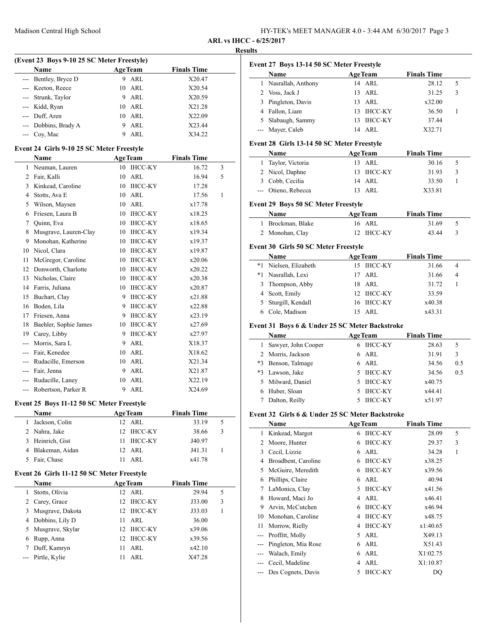| HY-TEK's MEET MANAGER 4.0 - 3:44 AM 6/30/2017 Page 3 |  |
|------------------------------------------------------|--|
|------------------------------------------------------|--|

**Name Age Team Finals Time** 1 Nasrallah, Anthony 14 ARL 28.12 5

# **ARL vs IHCC - 6/25/2017 Results**

 $\overline{\phantom{a}}$ 

 $\overline{a}$ 

# **(Event 23 Boys 9-10 25 SC Meter Freestyle)**

| <b>Name</b>          | <b>AgeTeam</b> | <b>Finals Time</b> |
|----------------------|----------------|--------------------|
| --- Bentley, Bryce D | ARL<br>9       | X20.47             |
| --- Keeton, Reece    | $10$ ARL       | X20.54             |
| --- Strunk, Taylor   | 9 ARL          | X20.59             |
| --- Kidd, Ryan       | 10 ARL         | X21.28             |
| --- Duff, Aren       | 10 ARL         | X22.09             |
| --- Dobbins, Brady A | ARL            | X23.44             |
| $-$ Coy, Mac         | ARL            | X34.22             |

### **Event 24 Girls 9-10 25 SC Meter Freestyle**

|       | Name                  | <b>AgeTeam</b>       | <b>Finals Time</b> |   |
|-------|-----------------------|----------------------|--------------------|---|
| 1     | Neuman, Lauren        | <b>IHCC-KY</b><br>10 | 16.72              | 3 |
| 2     | Fair, Kalli           | <b>ARL</b><br>10     | 16.94              | 5 |
| 3     | Kinkead, Caroline     | <b>IHCC-KY</b><br>10 | 17.28              |   |
| 4     | Stotts, Ava E         | <b>ARL</b><br>10     | 17.56              | 1 |
| 5     | Wilson, Maysen        | ARL<br>10            | x17.78             |   |
| 6     | Friesen, Laura B      | <b>IHCC-KY</b><br>10 | x18.25             |   |
| 7     | Quinn, Eva            | <b>IHCC-KY</b><br>10 | x18.65             |   |
| 8     | Musgrave, Lauren-Clay | <b>IHCC-KY</b><br>10 | x19.34             |   |
| 9     | Monohan, Katherine    | <b>IHCC-KY</b><br>10 | x19.37             |   |
| 10    | Nicol, Clara          | <b>IHCC-KY</b><br>10 | x19.87             |   |
| 11    | McGregor, Caroline    | <b>IHCC-KY</b><br>10 | x20.06             |   |
| 12    | Donworth, Charlotte   | <b>IHCC-KY</b><br>10 | x20.22             |   |
| 13    | Nicholas, Claire      | <b>IHCC-KY</b><br>10 | x20.38             |   |
| 14    | Farris, Juliana       | <b>IHCC-KY</b><br>10 | x20.87             |   |
| 15    | Buchart, Clay         | <b>IHCC-KY</b><br>9  | x21.88             |   |
| 16    | Boden, Lila           | <b>IHCC-KY</b><br>9  | x22.88             |   |
| 17    | Friesen, Anna         | <b>IHCC-KY</b><br>9  | x23.19             |   |
| 18    | Baehler, Sophie James | <b>IHCC-KY</b><br>10 | x27.69             |   |
| 19    | Carey, Libby          | <b>IHCC-KY</b><br>9  | x27.97             |   |
| $---$ | Morris, Sara L        | ARL<br>9             | X18.37             |   |
|       | Fair, Kenedee         | ARL<br>10            | X18.62             |   |
|       | Rudacille, Emerson    | ARL<br>10            | X21.34             |   |
| ---   | Fair, Jenna           | ARL<br>9             | X21.87             |   |
|       | Rudacille, Laney      | <b>ARL</b><br>10     | X22.19             |   |
| ---   | Robertson, Parker R   | 9<br><b>ARL</b>      | X24.69             |   |

### **Event 25 Boys 11-12 50 SC Meter Freestyle**

| <b>Name</b>       | <b>AgeTeam</b> | <b>Finals Time</b> |   |
|-------------------|----------------|--------------------|---|
| 1 Jackson, Colin  | 12 ARL         | 33.19              | 5 |
| 2 Nahra, Jake     | 12 IHCC-KY     | 38.66              | 3 |
| 3 Heinrich, Gist  | 11 IHCC-KY     | J40.97             |   |
| 4 Blakeman, Aidan | 12 ARL         | J41.31             |   |
| Fair, Chase<br>5. | ARL            | x41.78             |   |

### **Event 26 Girls 11-12 50 SC Meter Freestyle**

|   | <b>Name</b>       | <b>AgeTeam</b>             | <b>Finals Time</b> |  |
|---|-------------------|----------------------------|--------------------|--|
|   | Stotts, Olivia    | 12 ARL                     | 29.94<br>5         |  |
|   | 2 Carey, Grace    | 12 IHCC-KY                 | J33.00<br>3        |  |
| 3 | Musgrave, Dakota  | 12 IHCC-KY                 | J33.03             |  |
|   | 4 Dobbins, Lily D | ARL<br>11                  | 36.00              |  |
| 5 | Musgrave, Skylar  | 12 IHCC-KY                 | x39.06             |  |
| 6 | Rupp, Anna        | IHCC-KY<br>12 <sub>1</sub> | x39.56             |  |
| 7 | Duff, Kamryn      | ARL<br>11                  | x42.10             |  |
|   | --- Pirtle, Kylie | ARL                        | X47.28             |  |

|   | Voss, Jack J<br>2                                         | 13 ARL               | 31.25              | 3 |
|---|-----------------------------------------------------------|----------------------|--------------------|---|
|   | Pingleton, Davis<br>3                                     | 13 ARL               | x32.00             |   |
|   | Fallon, Liam<br>4                                         | <b>IHCC-KY</b><br>13 | 36.50              |   |
|   | Slabaugh, Sammy<br>5.                                     | IHCC-KY<br>13.       | 37.44              |   |
|   | --- Mayer, Caleb                                          | 14 ARL               | X32.71             |   |
|   |                                                           |                      |                    |   |
|   | Event 28 Girls 13-14 50 SC Meter Freestyle<br><b>Name</b> | <b>AgeTeam</b>       | <b>Finals Time</b> |   |
|   | Taylor, Victoria                                          | 13 ARL               | 30.16              | 5 |
| 3 | 2 Nicol, Daphne                                           | IHCC-KY<br>13        | 31.93              | 3 |
| 5 | Cobb, Cecilia<br>3                                        | 14 ARL               | 33.50              |   |
|   | Otieno, Rebecca                                           | 13 ARL               | X33.81             |   |

**Event 27 Boys 13-14 50 SC Meter Freestyle**

# **Event 29 Boys 50 SC Meter Freestyle**

| <b>Name</b>       | <b>AgeTeam</b> | <b>Finals Time</b> |  |
|-------------------|----------------|--------------------|--|
| 1 Brockman, Blake | 16 ARL         | 31.69              |  |
| 2 Monohan, Clay   | 12 IHCC-KY     | 43.44              |  |

### **Event 30 Girls 50 SC Meter Freestyle**

| Name                  | <b>AgeTeam</b> | <b>Finals Time</b> |  |
|-----------------------|----------------|--------------------|--|
| *1 Nielsen, Elizabeth | 15 IHCC-KY     | 31.66              |  |
| *1 Nasrallah, Lexi    | 17 ARL         | 31.66<br>4         |  |
| 3 Thompson, Abby      | 18 ARL         | 31.72              |  |
| 4 Scott, Emily        | 12 IHCC-KY     | 33.59              |  |
| 5 Sturgill, Kendall   | 16 IHCC-KY     | x40.38             |  |
| 6 Cole, Madison       | ARL            | x43.31             |  |

### **Event 31 Boys 6 & Under 25 SC Meter Backstroke**

|    | Name                  | <b>AgeTeam</b> | <b>Finals Time</b> |     |
|----|-----------------------|----------------|--------------------|-----|
|    | 1 Sawyer, John Cooper | 6 IHCC-KY      | 28.63              | 5   |
|    | 2 Morris, Jackson     | $6$ ARL        | 31.91              | 3   |
|    | *3 Benson, Talmage    | $6$ ARL        | 34.56              | 0.5 |
| *3 | Lawson, Jake          | <b>IHCC-KY</b> | 34.56              | 0.5 |
|    | 5 Milward, Daniel     | <b>IHCC-KY</b> | x40.75             |     |
|    | Huber, Sloan          | <b>IHCC-KY</b> | x44.41             |     |
|    | Dalton, Reilly        | <b>IHCC-KY</b> | x51.97             |     |

### **Event 32 Girls 6 & Under 25 SC Meter Backstroke**

|                | Name                | <b>AgeTeam</b>      | <b>Finals Time</b> |  |
|----------------|---------------------|---------------------|--------------------|--|
| 1              | Kinkead, Margot     | <b>IHCC-KY</b><br>6 | 5<br>28.09         |  |
| 2              | Moore, Hunter       | <b>IHCC-KY</b><br>6 | 3<br>29.37         |  |
| 3              | Cecil, Lizzie       | ARL<br>6            | 1<br>34.28         |  |
| 4              | Broadbent, Caroline | <b>IHCC-KY</b><br>6 | x38.25             |  |
| 5.             | McGuire, Meredith   | <b>IHCC-KY</b><br>6 | x39.56             |  |
| 6              | Phillips, Claire    | ARL<br>6            | 40.94              |  |
| 7              | LaMonica, Clay      | <b>IHCC-KY</b><br>5 | x41.56             |  |
| 8              | Howard, Maci Jo     | ARL<br>4            | x46.41             |  |
| 9              | Arvin, McCutchen    | <b>IHCC-KY</b><br>6 | x46.94             |  |
| 10             | Monohan, Caroline   | IHCC-KY<br>4        | x48.75             |  |
| 11             | Morrow, Rielly      | <b>IHCC-KY</b><br>4 | x1:40.65           |  |
| $\overline{a}$ | Proffitt, Molly     | ARL<br>5            | X49.13             |  |
| $---$          | Pingleton, Mia Rose | ARL<br>6            | X51.43             |  |
|                | Walach, Emily       | ARL<br>6            | X1:02.75           |  |
|                | Cecil, Madeline     | ARL<br>4            | X1:10.87           |  |
|                | Des Cognets, Davis  | <b>IHCC-KY</b><br>5 | DQ                 |  |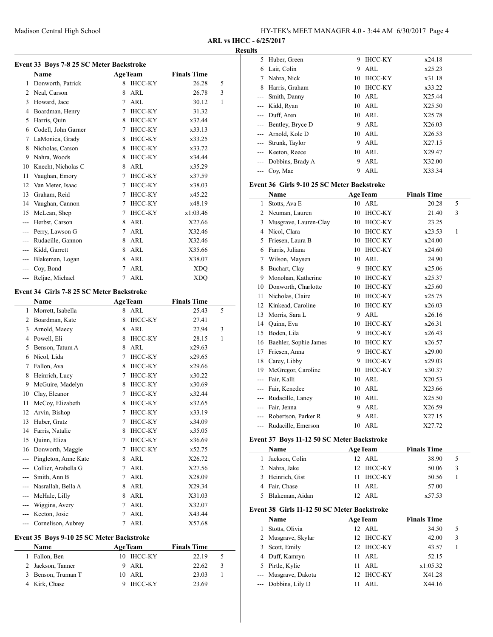| HY-TEK's MEET MANAGER 4.0 - 3:44 AM 6/30/2017 Page 4 |  |
|------------------------------------------------------|--|
|------------------------------------------------------|--|

### **Resu**

|               | Event 33 Boys 7-8 25 SC Meter Backstroke  |        |                |                    |   |
|---------------|-------------------------------------------|--------|----------------|--------------------|---|
|               | Name                                      |        | <b>AgeTeam</b> | <b>Finals Time</b> |   |
| 1             | Donworth, Patrick                         | 8      | <b>IHCC-KY</b> | 26.28              | 5 |
|               | 2 Neal, Carson                            | 8      | ARL            | 26.78              | 3 |
| 3             | Howard, Jace                              | 7      | ARL            | 30.12              | 1 |
|               | 4 Boardman, Henry                         | 7      | IHCC-KY        | 31.32              |   |
| 5             | Harris, Quin                              |        | 8 IHCC-KY      | x32.44             |   |
|               | 6 Codell, John Garner                     | 7      | IHCC-KY        | x33.13             |   |
| 7             | LaMonica, Grady                           |        | 8 IHCC-KY      | x33.25             |   |
| 8             | Nicholas, Carson                          |        | 8 IHCC-KY      | x33.72             |   |
|               | 9 Nahra, Woods                            | 8      | <b>IHCC-KY</b> | x34.44             |   |
|               | 10 Knecht, Nicholas C                     |        | 8 ARL          | x35.29             |   |
| 11            | Vaughan, Emory                            |        | 7 IHCC-KY      | x37.59             |   |
| 12            | Van Meter, Isaac                          |        | 7 IHCC-KY      | x38.03             |   |
| 13            | Graham, Reid                              |        | 7 IHCC-KY      | x45.22             |   |
| 14            | Vaughan, Cannon                           | $\tau$ | IHCC-KY        | x48.19             |   |
| 15            | McLean, Shep                              | 7      | IHCC-KY        | x1:03.46           |   |
|               | --- Herbst, Carson                        |        | 8 ARL          | X27.66             |   |
|               | --- Perry, Lawson G                       | 7      | ARL            | X32.46             |   |
|               | --- Rudacille, Gannon                     | 8      | ARL            | X32.46             |   |
|               | --- Kidd, Garrett                         | 8      | ARL            | X35.66             |   |
|               | --- Blakeman, Logan                       | 8      | ARL            | X38.07             |   |
|               | --- Coy, Bond                             | 7      | ARL            | XDO                |   |
| $---$         | Reljac, Michael                           | 7      | ARL            | XDQ                |   |
|               |                                           |        |                |                    |   |
|               | Event 34 Girls 7-8 25 SC Meter Backstroke |        |                |                    |   |
|               | Name                                      |        | <b>AgeTeam</b> | <b>Finals Time</b> |   |
|               |                                           |        |                |                    |   |
|               | 1 Morrett, Isabella                       |        | 8 ARL          | 25.43              | 5 |
|               | 2 Boardman, Kate                          | 8      | <b>IHCC-KY</b> | 27.41              |   |
|               | 3 Arnold, Maecy                           | 8      | ARL            | 27.94              | 3 |
|               | 4 Powell, Eli                             | 8      | IHCC-KY        | 28.15              | 1 |
|               | 5 Benson, Tatum A                         | 8      | ARL            | x29.63             |   |
|               | 6 Nicol, Lida                             | 7      | <b>IHCC-KY</b> | x29.65             |   |
|               | 7 Fallon, Ava                             |        | 8 IHCC-KY      | x29.66             |   |
| 8             | Heinrich, Lucy                            |        | 7 IHCC-KY      | x30.22             |   |
| 9             | McGuire, Madelyn                          |        | 8 IHCC-KY      | x30.69             |   |
|               | 10 Clay, Eleanor                          |        | 7 IHCC-KY      | x32.44             |   |
| 11            | McCoy, Elizabeth                          | 8      | <b>IHCC-KY</b> | x32.65             |   |
| 12            | Arvin, Bishop                             | 7      | <b>IHCC-KY</b> | x33.19             |   |
| 13            | Huber, Gratz                              | 7      | <b>IHCC-KY</b> | x34.09             |   |
| 14            | Farris, Natalie                           | 8      | <b>IHCC-KY</b> | x35.05             |   |
| 15            | Quinn, Eliza                              | 7      | IHCC-KY        | x36.69             |   |
| 16            | Donworth, Maggie                          | 7      | IHCC-KY        | x52.75             |   |
| $--$          | Pingleton, Anne Kate                      | 8      | ARL            | X26.72             |   |
|               | --- Collier, Arabella G                   | 7      | ARL            | X27.56             |   |
|               | --- Smith, Ann B                          | 7      | ARL            | X28.09             |   |
|               | --- Nasrallah, Bella A                    | 8      | ARL            | X29.34             |   |
|               | --- McHale, Lilly                         | 8      | ARL            | X31.03             |   |
|               | --- Wiggins, Avery                        | 7      | ARL            | X32.07             |   |
| $--$<br>$---$ | Keeton, Josie<br>Cornelison, Aubrey       | 7<br>7 | ARL<br>ARL     | X43.44<br>X57.68   |   |

# **Event 35 Boys 9-10 25 SC Meter Backstroke**

| Name               | <b>AgeTeam</b> | <b>Finals Time</b> |   |
|--------------------|----------------|--------------------|---|
| 1 Fallon, Ben      | 10 IHCC-KY     | 22.19              | 5 |
| 2 Jackson, Tanner  | 9 ARL          | 22.62              | 3 |
| 3 Benson, Truman T | 10 ARL         | 23.03              |   |
| 4 Kirk, Chase      | IHCC-KY        | 23.69              |   |

| ılts  |                   |    |                |        |
|-------|-------------------|----|----------------|--------|
| 5.    | Huber, Green      | 9  | <b>IHCC-KY</b> | x24.18 |
| 6     | Lair, Colin       | 9  | ARL            | x25.23 |
| 7     | Nahra, Nick       | 10 | <b>IHCC-KY</b> | x31.18 |
| 8     | Harris, Graham    | 10 | <b>IHCC-KY</b> | x33.22 |
| $---$ | Smith, Danny      |    | $10$ ARL       | X25.44 |
|       | Kidd, Ryan        |    | 10 ARL         | X25.50 |
|       | Duff, Aren        |    | $10$ ARL       | X25.78 |
| $---$ | Bentley, Bryce D  | 9. | ARL            | X26.03 |
|       | Arnold, Kole D    |    | $10$ ARL       | X26.53 |
|       | Strunk, Taylor    | 9  | ARL            | X27.15 |
|       | --- Keeton, Reece |    | 10 ARL         | X29.47 |
| $---$ | Dobbins, Brady A  | 9  | ARL            | X32.00 |
|       | Coy, Mac          | 9  | ARL            | X33.34 |
|       |                   |    |                |        |

### **Event 36 Girls 9-10 25 SC Meter Backstroke**

|       | Name                  |    | <b>AgeTeam</b> | <b>Finals Time</b> |   |
|-------|-----------------------|----|----------------|--------------------|---|
| 1     | Stotts, Ava E         |    | 10 ARL         | 20.28              | 5 |
| 2     | Neuman, Lauren        | 10 | <b>IHCC-KY</b> | 21.40              | 3 |
| 3     | Musgrave, Lauren-Clay | 10 | <b>IHCC-KY</b> | 23.25              |   |
| 4     | Nicol, Clara          | 10 | <b>IHCC-KY</b> | x23.53             | 1 |
| 5     | Friesen, Laura B      | 10 | <b>IHCC-KY</b> | x24.00             |   |
| 6     | Farris, Juliana       | 10 | <b>IHCC-KY</b> | x24.60             |   |
| 7     | Wilson, Maysen        | 10 | ARL            | 24.90              |   |
| 8     | Buchart, Clay         | 9  | <b>IHCC-KY</b> | x25.06             |   |
| 9     | Monohan, Katherine    | 10 | <b>IHCC-KY</b> | x25.37             |   |
| 10    | Donworth, Charlotte   | 10 | <b>IHCC-KY</b> | x25.60             |   |
| 11    | Nicholas, Claire      | 10 | <b>IHCC-KY</b> | x25.75             |   |
| 12    | Kinkead, Caroline     | 10 | <b>IHCC-KY</b> | x26.03             |   |
| 13    | Morris, Sara L        | 9  | ARL            | x26.16             |   |
| 14    | Quinn, Eva            | 10 | <b>IHCC-KY</b> | x26.31             |   |
| 15    | Boden, Lila           | 9  | <b>IHCC-KY</b> | x26.43             |   |
| 16    | Baehler, Sophie James | 10 | <b>IHCC-KY</b> | x26.57             |   |
| 17    | Friesen, Anna         | 9  | <b>IHCC-KY</b> | x29.00             |   |
| 18    | Carey, Libby          | 9  | <b>IHCC-KY</b> | x29.03             |   |
| 19    | McGregor, Caroline    | 10 | <b>IHCC-KY</b> | x30.37             |   |
| ---   | Fair, Kalli           | 10 | ARL            | X20.53             |   |
| ---   | Fair, Kenedee         | 10 | ARL            | X23.66             |   |
| ---   | Rudacille, Laney      | 10 | ARL            | X25.50             |   |
| $---$ | Fair, Jenna           | 9  | ARL            | X26.59             |   |
|       | Robertson, Parker R   | 9  | ARL            | X27.15             |   |
| $---$ | Rudacille, Emerson    | 10 | <b>ARL</b>     | X27.72             |   |

# **Event 37 Boys 11-12 50 SC Meter Backstroke**

| <b>Name</b>       | <b>AgeTeam</b> | <b>Finals Time</b> |   |
|-------------------|----------------|--------------------|---|
| 1 Jackson, Colin  | 12 ARL         | 38.90              | 5 |
| 2 Nahra, Jake     | 12 IHCC-KY     | 50.06              | 3 |
| 3 Heinrich, Gist  | 11 IHCC-KY     | 50.56              |   |
| 4 Fair, Chase     | 11 ARL         | 57.00              |   |
| 5 Blakeman, Aidan | ARL            | x57.53             |   |

### **Event 38 Girls 11-12 50 SC Meter Backstroke**

| Name                 | <b>AgeTeam</b> | <b>Finals Time</b> |  |
|----------------------|----------------|--------------------|--|
| Stotts, Olivia       | $12$ ARL       | 34.50<br>5         |  |
| 2 Musgrave, Skylar   | 12 IHCC-KY     | 3<br>42.00         |  |
| 3 Scott, Emily       | 12 IHCC-KY     | 43.57              |  |
| 4 Duff, Kamryn       | ARL<br>11      | 52.15              |  |
| 5 Pirtle, Kylie      | ARL<br>11      | x1:05.32           |  |
| --- Musgrave, Dakota | 12 IHCC-KY     | X41.28             |  |
| --- Dobbins, Lily D  | ARL            | X44.16             |  |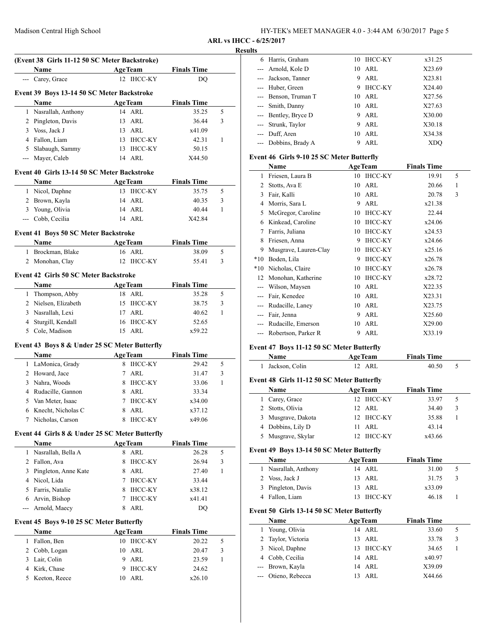| HY-TEK's MEET MANAGER 4.0 - 3:44 AM 6/30/2017 Page 5 |  |
|------------------------------------------------------|--|
|------------------------------------------------------|--|

#### **Results**

|     | (Event 38 Girls 11-12 50 SC Meter Backstroke)  |    |                |                    |   |
|-----|------------------------------------------------|----|----------------|--------------------|---|
|     | Name                                           |    | <b>AgeTeam</b> | <b>Finals Time</b> |   |
|     | Carey, Grace                                   |    | 12 IHCC-KY     | DQ                 |   |
|     | Event 39 Boys 13-14 50 SC Meter Backstroke     |    |                |                    |   |
|     | Name                                           |    | <b>AgeTeam</b> | <b>Finals Time</b> |   |
|     | 1 Nasrallah, Anthony                           |    | 14 ARL         | 35.25              | 5 |
|     | 2 Pingleton, Davis                             | 13 | ARL            | 36.44              | 3 |
|     | 3 Voss, Jack J                                 | 13 | ARL            | x41.09             |   |
|     | 4 Fallon, Liam                                 | 13 | IHCC-KY        | 42.31              | 1 |
|     | 5 Slabaugh, Sammy                              | 13 | IHCC-KY        | 50.15              |   |
|     | --- Mayer, Caleb                               |    | 14 ARL         | X44.50             |   |
|     |                                                |    |                |                    |   |
|     | Event 40 Girls 13-14 50 SC Meter Backstroke    |    |                |                    |   |
|     | Name                                           |    | <b>AgeTeam</b> | <b>Finals Time</b> |   |
|     | 1 Nicol, Daphne                                |    | 13 IHCC-KY     | 35.75              | 5 |
|     | 2 Brown, Kayla                                 | 14 | ARL            | 40.35              | 3 |
|     | 3 Young, Olivia                                |    | 14 ARL         | 40.44              | 1 |
|     | --- Cobb, Cecilia                              |    | 14 ARL         | X42.84             |   |
|     | Event 41 Boys 50 SC Meter Backstroke           |    |                |                    |   |
|     | Name                                           |    | <b>AgeTeam</b> | <b>Finals Time</b> |   |
| 1   | Brockman, Blake                                |    | 16 ARL         | 38.09              | 5 |
|     | 2 Monohan, Clay                                |    | 12 IHCC-KY     | 55.41              | 3 |
|     | <b>Event 42 Girls 50 SC Meter Backstroke</b>   |    |                |                    |   |
|     | Name                                           |    | <b>AgeTeam</b> | <b>Finals Time</b> |   |
|     | 1 Thompson, Abby                               |    | 18 ARL         | 35.28              | 5 |
|     | 2 Nielsen, Elizabeth                           | 15 | IHCC-KY        | 38.75              | 3 |
|     |                                                |    |                |                    |   |
|     | 3 Nasrallah, Lexi                              | 17 | ARL            | 40.62              | 1 |
|     | 4 Sturgill, Kendall                            |    | 16 IHCC-KY     | 52.65              |   |
| 5   | Cole, Madison                                  |    | 15 ARL         | x59.22             |   |
|     | Event 43 Boys 8 & Under 25 SC Meter Butterfly  |    |                |                    |   |
|     | Name                                           |    | <b>AgeTeam</b> | <b>Finals Time</b> |   |
|     | 1 LaMonica, Grady                              | 8  | <b>IHCC-KY</b> | 29.42              | 5 |
|     | 2 Howard, Jace                                 | 7  | ARL            | 31.47              | 3 |
|     | 3 Nahra, Woods                                 | 8  | IHCC-KY        | 33.06              | 1 |
|     | 4 Rudacille, Gannon                            | 8  | ARL            | 33.34              |   |
|     | 5 Van Meter, Isaac                             | 7  | <b>IHCC-KY</b> | x34.00             |   |
|     | 6 Knecht, Nicholas C                           | 8  | ARL            | x37.12             |   |
| 7   | Nicholas, Carson                               | 8  | IHCC-KY        | x49.06             |   |
|     | Event 44 Girls 8 & Under 25 SC Meter Butterfly |    |                |                    |   |
|     | Name                                           |    | <b>AgeTeam</b> | <b>Finals Time</b> |   |
|     | 1 Nasrallah, Bella A                           | 8  | ARL            | 26.28              | 5 |
|     | 2 Fallon, Ava                                  | 8  | <b>IHCC-KY</b> | 26.94              | 3 |
|     | 3 Pingleton, Anne Kate                         | 8  | ARL            | 27.40              | 1 |
|     | 4 Nicol, Lida                                  | 7  | <b>IHCC-KY</b> | 33.44              |   |
|     | 5 Farris, Natalie                              | 8  | <b>IHCC-KY</b> | x38.12             |   |
|     | 6 Arvin, Bishop                                | 7  | IHCC-KY        | x41.41             |   |
| --- | Arnold, Maecy                                  | 8  | ARL            | DQ                 |   |
|     |                                                |    |                |                    |   |
|     | Event 45 Boys 9-10 25 SC Meter Butterfly       |    |                |                    |   |
|     | Name                                           |    | <b>AgeTeam</b> | <b>Finals Time</b> |   |
|     | 1 Fallon, Ben                                  |    | 10 IHCC-KY     | 20.22              | 5 |
|     | 2 Cobb, Logan                                  | 10 | ARL            | 20.47              | 3 |
| 3   | Lair, Colin                                    | 9  | ARL            | 23.59              | 1 |
|     | 4 Kirk, Chase                                  | 9  | <b>IHCC-KY</b> | 24.62              |   |

5 Keeton, Reece 10 ARL x26.10

| 6 | Harris, Graham       |    | 10 IHCC-KY | x31.25 |
|---|----------------------|----|------------|--------|
|   | --- Arnold, Kole D   |    | 10 ARL     | X23.69 |
|   | --- Jackson, Tanner  | 9  | ARL        | X23.81 |
|   | --- Huber, Green     | 9  | IHCC-KY    | X24.40 |
|   | --- Benson, Truman T |    | 10 ARL     | X27.56 |
|   | --- Smith, Danny     | 10 | ARL        | X27.63 |
|   | --- Bentley, Bryce D | 9  | ARL        | X30.00 |
|   | --- Strunk, Taylor   | 9  | ARL        | X30.18 |
|   | --- Duff, Aren       | 10 | ARL        | X34.38 |
|   | --- Dobbins, Brady A |    | ARL        | XDO    |

### **Event 46 Girls 9-10 25 SC Meter Butterfly**

|       | Name                  | <b>AgeTeam</b> |                | <b>Finals Time</b> |   |  |
|-------|-----------------------|----------------|----------------|--------------------|---|--|
| 1     | Friesen, Laura B      | 10             | IHCC-KY        | 19.91              | 5 |  |
| 2     | Stotts, Ava E         | 10             | ARL            | 20.66              | 1 |  |
| 3     | Fair, Kalli           |                | 10 ARL         | 20.78              | 3 |  |
| 4     | Morris, Sara L        | 9              | ARL            | x21.38             |   |  |
| 5     | McGregor, Caroline    | 10             | <b>IHCC-KY</b> | 22.44              |   |  |
| 6     | Kinkead, Caroline     | 10             | <b>IHCC-KY</b> | x24.06             |   |  |
| 7     | Farris, Juliana       | 10             | <b>IHCC-KY</b> | x24.53             |   |  |
| 8     | Friesen, Anna         | 9              | <b>IHCC-KY</b> | x24.66             |   |  |
| 9     | Musgrave, Lauren-Clay | 10             | <b>IHCC-KY</b> | x25.16             |   |  |
| $*10$ | Boden, Lila           | 9              | <b>IHCC-KY</b> | x26.78             |   |  |
| $*10$ | Nicholas, Claire      | 10             | <b>IHCC-KY</b> | x26.78             |   |  |
| 12    | Monohan, Katherine    | 10             | <b>IHCC-KY</b> | x28.72             |   |  |
|       | Wilson, Maysen        | 10             | ARL            | X22.35             |   |  |
| ---   | Fair, Kenedee         | 10             | ARL            | X23.31             |   |  |
| ---   | Rudacille, Laney      | 10             | ARL            | X23.75             |   |  |
| ---   | Fair, Jenna           | 9              | ARL            | X25.60             |   |  |
| ---   | Rudacille, Emerson    | 10             | ARL            | X29.00             |   |  |
| $---$ | Robertson, Parker R   | 9              | ARL            | X33.19             |   |  |

# **Event 47 Boys 11-12 50 SC Meter Butterfly**

| <b>Name</b>      | <b>AgeTeam</b> | <b>Finals Time</b> |  |
|------------------|----------------|--------------------|--|
| 1 Jackson, Colin | 12 ARL         | 40.50              |  |

# **Event 48 Girls 11-12 50 SC Meter Butterfly**

| Name               | <b>AgeTeam</b> | <b>Finals Time</b> |   |
|--------------------|----------------|--------------------|---|
| 1 Carey, Grace     | 12 IHCC-KY     | 33.97              | 5 |
| 2 Stotts, Olivia   | 12 ARL         | 34.40              | 3 |
| 3 Musgrave, Dakota | 12 IHCC-KY     | 35.88              |   |
| 4 Dobbins, Lily D  | $11$ ARI.      | 43.14              |   |
| 5 Musgrave, Skylar | 12 IHCC-KY     | x43.66             |   |

# **Event 49 Boys 13-14 50 SC Meter Butterfly**

| Name                 | <b>AgeTeam</b> | <b>Finals Time</b> |  |
|----------------------|----------------|--------------------|--|
| 1 Nasrallah, Anthony | 14 ARL         | 31.00              |  |
| 2 Voss, Jack J       | 13 ARL         | 31.75              |  |
| 3 Pingleton, Davis   | 13 ARL         | x33.09             |  |
| 4 Fallon, Liam       | 13 IHCC-KY     | 46.18              |  |

# **Event 50 Girls 13-14 50 SC Meter Butterfly**

| Name                | <b>AgeTeam</b> | <b>Finals Time</b> |   |
|---------------------|----------------|--------------------|---|
| 1 Young, Olivia     | 14 ARL         | 33.60              |   |
| 2 Taylor, Victoria  | $13$ ARL       | 33.78              | 3 |
| 3 Nicol, Daphne     | 13 IHCC-KY     | 34.65              |   |
| 4 Cobb, Cecilia     | 14 ARL         | x40.97             |   |
| --- Brown, Kayla    | 14 ARL         | X39.09             |   |
| --- Otieno, Rebecca | ARL            | X44.66             |   |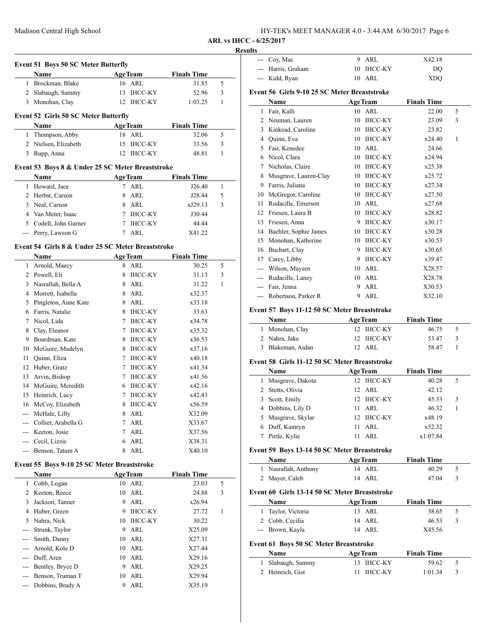| HY-TEK's MEET MANAGER 4.0 - 3:44 AM 6/30/2017 Page 6 |  |
|------------------------------------------------------|--|
|------------------------------------------------------|--|

#### **Results**

|   | <b>Event 51 Boys 50 SC Meter Butterfly</b>       |     |                |                    |   |
|---|--------------------------------------------------|-----|----------------|--------------------|---|
|   | Name                                             |     | <b>AgeTeam</b> | <b>Finals Time</b> |   |
| 1 | Brockman, Blake                                  |     | 16 ARL         | 31.85              | 5 |
| 2 | Slabaugh, Sammy                                  | 13  | <b>IHCC-KY</b> | 52.96              | 3 |
| 3 | Monohan, Clay                                    |     | 12 IHCC-KY     | 1:03.25            | 1 |
|   | <b>Event 52 Girls 50 SC Meter Butterfly</b>      |     |                |                    |   |
|   | <b>Name</b>                                      |     | <b>AgeTeam</b> | <b>Finals Time</b> |   |
|   | Thompson, Abby                                   |     | 18 ARL         | 32.06              | 5 |
|   | Nielsen, Elizabeth                               | 15  | IHCC-KY        | 33.56              | 3 |
| 3 | Rupp, Anna                                       | 12. | IHCC-KY        | 48.81              |   |
|   | Event 53 Boys 8 & Under 25 SC Meter Breaststroke |     |                |                    |   |
|   | <b>Name</b>                                      |     | <b>AgeTeam</b> | <b>Finals Time</b> |   |
| 1 | Howard, Jace                                     | 7   | ARL            | J26.40             |   |
| 2 | Herbst, Carson                                   | 8   | ARL            | J28.44             | 5 |
| 3 | Neal, Carson                                     | 8   | ARL            | xJ29.13            | 3 |

| 4 Van Meter, Isaac    | 7 IHCC-KY | J30.44 |
|-----------------------|-----------|--------|
| 5 Codell, John Garner | 7 IHCC-KY | 44.44  |
| --- Perry, Lawson G   | 7 ARL     | X41.22 |

## **Event 54 Girls 8 & Under 25 SC Meter Breaststroke**

 $\overline{\phantom{a}}$ 

|                | Name                 |   | <b>AgeTeam</b> | <b>Finals Time</b> |   |
|----------------|----------------------|---|----------------|--------------------|---|
| 1              | Arnold, Maecy        |   | 8 ARL          | 30.25              | 5 |
| 2              | Powell, Eli          | 8 | <b>IHCC-KY</b> | 31.13              | 3 |
| 3              | Nasrallah, Bella A   | 8 | ARL            | 31.22              | 1 |
| 4              | Morrett, Isabella    | 8 | ARL            | x32.37             |   |
| 5              | Pingleton, Anne Kate | 8 | <b>ARL</b>     | x33.18             |   |
| 6              | Farris, Natalie      | 8 | <b>IHCC-KY</b> | 33.63              |   |
| 7              | Nicol, Lida          | 7 | <b>IHCC-KY</b> | x34.78             |   |
| 8              | Clay, Eleanor        | 7 | <b>IHCC-KY</b> | x35.32             |   |
| 9              | Boardman, Kate       | 8 | <b>IHCC-KY</b> | x36.53             |   |
| 10             | McGuire, Madelyn     | 8 | <b>IHCC-KY</b> | x37.16             |   |
| 11             | Quinn, Eliza         | 7 | <b>IHCC-KY</b> | x40.18             |   |
| 12             | Huber, Gratz         | 7 | <b>IHCC-KY</b> | x41.34             |   |
| 13             | Arvin, Bishop        | 7 | <b>IHCC-KY</b> | x41.56             |   |
| 14             | McGuire, Meredith    | 6 | <b>IHCC-KY</b> | x42.16             |   |
| 15             | Heinrich, Lucy       | 7 | <b>IHCC-KY</b> | x42.43             |   |
| 16             | McCoy, Elizabeth     | 8 | <b>IHCC-KY</b> | x56.59             |   |
| $\overline{a}$ | McHale, Lilly        | 8 | ARL            | X32.09             |   |
|                | Collier, Arabella G  | 7 | ARL            | X33.67             |   |
|                | Keeton, Josie        | 7 | ARL            | X37.56             |   |
|                | Cecil, Lizzie        | 6 | ARL            | X38.31             |   |
|                | Benson, Tatum A      | 8 | ARL            | X40.10             |   |
|                |                      |   |                |                    |   |

# **Event 55 Boys 9-10 25 SC Meter Breaststroke**

|       | <b>Name</b>      |    | <b>AgeTeam</b> | <b>Finals Time</b> |   |
|-------|------------------|----|----------------|--------------------|---|
| 1     | Cobb, Logan      | 10 | ARL            | 23.03              | 5 |
| 2     | Keeton, Reece    |    | $10$ ARL       | 24.88              | 3 |
| 3     | Jackson, Tanner  | 9  | ARL            | x26.94             |   |
| 4     | Huber, Green     | 9  | <b>IHCC-KY</b> | 27.72              |   |
| 5     | Nahra, Nick      | 10 | <b>IHCC-KY</b> | 30.22              |   |
|       | Strunk, Taylor   | 9  | ARL            | X25.09             |   |
|       | Smith, Danny     |    | $10$ ARL       | X27.31             |   |
|       | Arnold, Kole D   | 10 | ARL            | X27.44             |   |
|       | Duff, Aren       |    | $10$ ARL       | X29.16             |   |
| $---$ | Bentley, Bryce D | 9  | ARL            | X29.25             |   |
|       | Benson, Truman T | 10 | ARL            | X29.94             |   |
|       | Dobbins, Brady A | 9  | ARL            | X35.19             |   |

| . |                    |            |            |  |
|---|--------------------|------------|------------|--|
|   | $-$ Coy, Mac       | 9 ARL      | X42.18     |  |
|   | --- Harris, Graham | 10 IHCC-KY | DO         |  |
|   | --- Kidd, Ryan     | 10 ARL     | <b>XDO</b> |  |
|   |                    |            |            |  |

# **Event 56 Girls 9-10 25 SC Meter Breaststroke**

|       | Name                  |    | <b>AgeTeam</b> | <b>Finals Time</b> |   |
|-------|-----------------------|----|----------------|--------------------|---|
| 1     | Fair, Kalli           |    | 10 ARL         | 22.00              | 5 |
| 2     | Neuman, Lauren        | 10 | IHCC-KY        | 23.09              | 3 |
| 3     | Kinkead, Caroline     | 10 | <b>IHCC-KY</b> | 23.82              |   |
| 4     | Quinn, Eva            | 10 | <b>IHCC-KY</b> | x24.40             | 1 |
| 5     | Fair, Kenedee         | 10 | <b>ARL</b>     | 24.66              |   |
| 6     | Nicol, Clara          | 10 | <b>IHCC-KY</b> | x24.94             |   |
| 7     | Nicholas, Claire      | 10 | <b>IHCC-KY</b> | x25.38             |   |
| 8     | Musgrave, Lauren-Clay | 10 | <b>IHCC-KY</b> | x25.72             |   |
| 9     | Farris, Juliana       | 10 | <b>IHCC-KY</b> | x27.34             |   |
| 10    | McGregor, Caroline    | 10 | <b>IHCC-KY</b> | x27.50             |   |
| 11    | Rudacille, Emerson    | 10 | ARL            | x27.68             |   |
| 12    | Friesen, Laura B      | 10 | IHCC-KY        | x28.82             |   |
| 13    | Friesen, Anna         | 9  | <b>IHCC-KY</b> | x30.17             |   |
| 14    | Baehler, Sophie James | 10 | <b>IHCC-KY</b> | x30.28             |   |
| 15    | Monohan, Katherine    | 10 | <b>IHCC-KY</b> | x30.53             |   |
| 16    | Buchart, Clay         | 9  | <b>IHCC-KY</b> | x30.65             |   |
| 17    | Carey, Libby          | 9  | <b>IHCC-KY</b> | x39.47             |   |
| $---$ | Wilson, Maysen        | 10 | ARL            | X28.57             |   |
| $---$ | Rudacille, Laney      | 10 | ARL            | X28.78             |   |
|       | Fair, Jenna           | 9  | <b>ARL</b>     | X30.53             |   |
| $---$ | Robertson, Parker R   | 9  | ARL            | X32.10             |   |

# **Event 57 Boys 11-12 50 SC Meter Breaststroke**

| Name              | <b>AgeTeam</b> | <b>Finals Time</b> |   |
|-------------------|----------------|--------------------|---|
| 1 Monohan, Clay   | 12 IHCC-KY     | 46.75              |   |
| 2 Nahra, Jake     | 12 IHCC-KY     | 53.47              | 3 |
| 3 Blakeman, Aidan | 12 ARL         | 58.47              |   |

### **Event 58 Girls 11-12 50 SC Meter Breaststroke**

|                                               | <b>Name</b>                                  | <b>AgeTeam</b> | <b>Finals Time</b> |   |  |  |
|-----------------------------------------------|----------------------------------------------|----------------|--------------------|---|--|--|
| 1                                             | Musgrave, Dakota                             | 12 IHCC-KY     | 40.28              | 5 |  |  |
| 2                                             | Stotts, Olivia                               | $12$ ARL       | 42.12              |   |  |  |
| 3.                                            | Scott, Emily                                 | 12 IHCC-KY     | 45.33              | 3 |  |  |
| 4                                             | Dobbins, Lily D                              | ARL<br>11      | 46.32              | 1 |  |  |
| 5.                                            | Musgrave, Skylar                             | 12 IHCC-KY     | x48.19             |   |  |  |
| 6                                             | Duff, Kamryn                                 | ARL<br>11      | x52.32             |   |  |  |
|                                               | Pirtle, Kylie                                | ARL<br>11      | x1:07.84           |   |  |  |
|                                               | Event 59 Boys 13-14 50 SC Meter Breaststroke |                |                    |   |  |  |
|                                               | <b>Name</b>                                  | <b>AgeTeam</b> | <b>Finals Time</b> |   |  |  |
| 1                                             | Nasrallah, Anthony                           | 14 ARL         | 40.29              | 5 |  |  |
| 2                                             | Mayer, Caleb                                 | 14 ARL         | 47.04              | 3 |  |  |
| Event 60 Girls 13-14 50 SC Meter Breaststroke |                                              |                |                    |   |  |  |

|                                               | Name               | <b>AgeTeam</b>     | <b>Finals Time</b> |   |  |  |  |
|-----------------------------------------------|--------------------|--------------------|--------------------|---|--|--|--|
|                                               | 1 Taylor, Victoria | 13 ARL             | 38.65              | 5 |  |  |  |
|                                               | 2 Cobb, Cecilia    | 14 ARL             | 46.53              | 3 |  |  |  |
|                                               | --- Brown, Kayla   | 14 ARL             | X45.56             |   |  |  |  |
| <b>Event 61 Boys 50 SC Meter Breaststroke</b> |                    |                    |                    |   |  |  |  |
|                                               | $N = -$            | $\Lambda$ as Taxes | Etaale Times       |   |  |  |  |

| Name              | <b>AgeTeam</b> | <b>Finals Time</b> |  |
|-------------------|----------------|--------------------|--|
| 1 Slabaugh, Sammy | 13 IHCC-KY     | 59.62              |  |
| 2 Heinrich, Gist  | 11 IHCC-KY     | 1:01.34            |  |